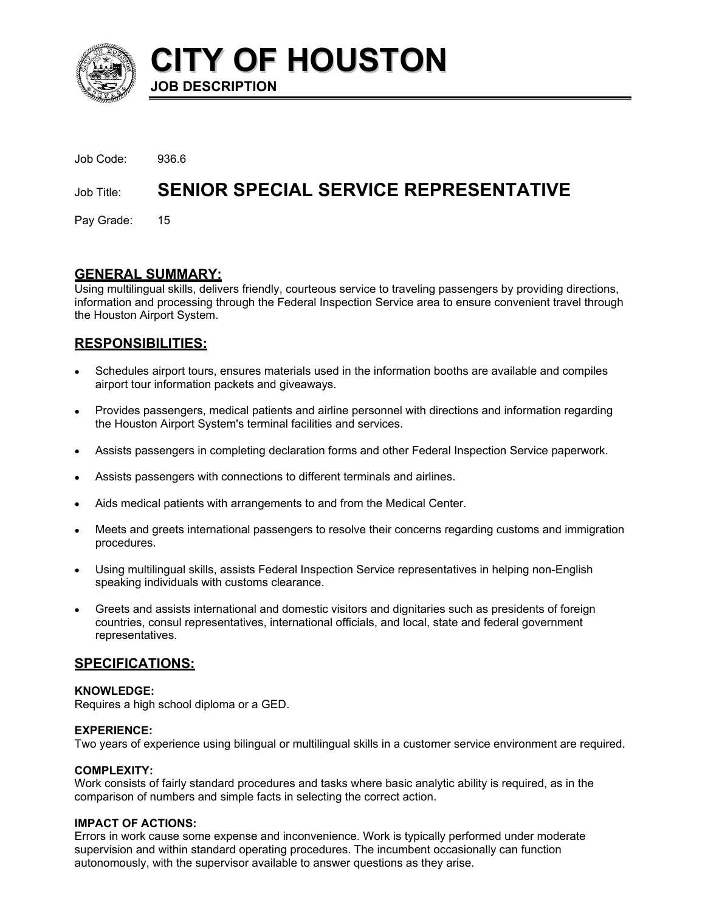

**CITY OF HOUSTON JOB DESCRIPTION** 

| Job Code: | 936.6 |
|-----------|-------|
|           |       |

# Job Title: **SENIOR SPECIAL SERVICE REPRESENTATIVE**

Pay Grade: 15

# **GENERAL SUMMARY:**

Using multilingual skills, delivers friendly, courteous service to traveling passengers by providing directions, information and processing through the Federal Inspection Service area to ensure convenient travel through the Houston Airport System.

# **RESPONSIBILITIES:**

- Schedules airport tours, ensures materials used in the information booths are available and compiles airport tour information packets and giveaways. •
- Provides passengers, medical patients and airline personnel with directions and information regarding the Houston Airport System's terminal facilities and services.
- Assists passengers in completing declaration forms and other Federal Inspection Service paperwork.
- Assists passengers with connections to different terminals and airlines.
- Aids medical patients with arrangements to and from the Medical Center.
- Meets and greets international passengers to resolve their concerns regarding customs and immigration procedures.
- Using multilingual skills, assists Federal Inspection Service representatives in helping non-English speaking individuals with customs clearance.
- Greets and assists international and domestic visitors and dignitaries such as presidents of foreign countries, consul representatives, international officials, and local, state and federal government representatives.

# **SPECIFICATIONS:**

# **KNOWLEDGE:**

Requires a high school diploma or a GED.

# **EXPERIENCE:**

Two years of experience using bilingual or multilingual skills in a customer service environment are required.

# **COMPLEXITY:**

Work consists of fairly standard procedures and tasks where basic analytic ability is required, as in the comparison of numbers and simple facts in selecting the correct action.

# **IMPACT OF ACTIONS:**

Errors in work cause some expense and inconvenience. Work is typically performed under moderate supervision and within standard operating procedures. The incumbent occasionally can function autonomously, with the supervisor available to answer questions as they arise.